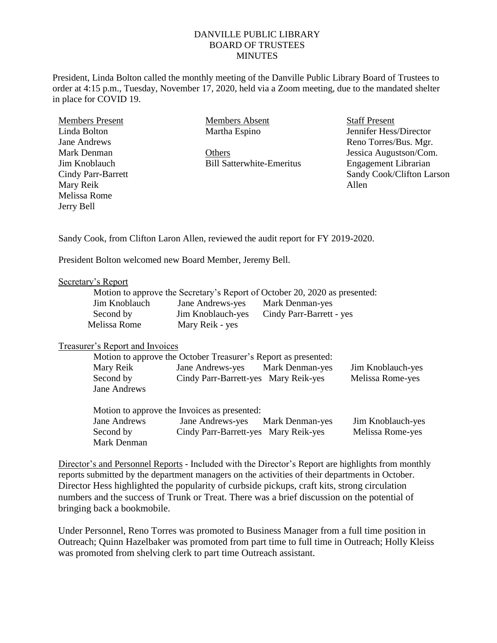## DANVILLE PUBLIC LIBRARY BOARD OF TRUSTEES **MINUTES**

President, Linda Bolton called the monthly meeting of the Danville Public Library Board of Trustees to order at 4:15 p.m., Tuesday, November 17, 2020, held via a Zoom meeting, due to the mandated shelter in place for COVID 19.

| <b>Members Present</b> |
|------------------------|
| Linda Bolton           |
| Jane Andrews           |
| Mark Denman            |
| Jim Knoblauch          |
| Cindy Parr-Barrett     |
| Mary Reik              |
| Melissa Rome           |
| Jerry Bell             |
|                        |

Members Absent Martha Espino

**Others** Bill Satterwhite-Emeritus Staff Present Jennifer Hess/Director Reno Torres/Bus. Mgr. Jessica Augustson/Com. Engagement Librarian Sandy Cook/Clifton Larson Allen

Sandy Cook, from Clifton Laron Allen, reviewed the audit report for FY 2019-2020.

President Bolton welcomed new Board Member, Jeremy Bell.

## Secretary's Report

|               |                   | Motion to approve the Secretary's Report of October 20, 2020 as presented: |
|---------------|-------------------|----------------------------------------------------------------------------|
| Jim Knoblauch | Jane Andrews-yes  | Mark Denman-yes                                                            |
| Second by     | Jim Knoblauch-yes | Cindy Parr-Barrett - yes                                                   |
| Melissa Rome  | Mary Reik - yes   |                                                                            |

## Treasurer's Report and Invoices

| Motion to approve the October Treasurer's Report as presented: |                                      |                 |                   |  |
|----------------------------------------------------------------|--------------------------------------|-----------------|-------------------|--|
| Mary Reik                                                      | <b>Jane Andrews-yes</b>              | Mark Denman-yes | Jim Knoblauch-yes |  |
| Second by                                                      | Cindy Parr-Barrett-yes Mary Reik-yes |                 | Melissa Rome-yes  |  |
| Jane Andrews                                                   |                                      |                 |                   |  |

Motion to approve the Invoices as presented: Jane Andrews Jane Andrews-yes Mark Denman-yes Jim Knoblauch-yes Second by Cindy Parr-Barrett-yes Mary Reik-yes Melissa Rome-yes Mark Denman

Director's and Personnel Reports - Included with the Director's Report are highlights from monthly reports submitted by the department managers on the activities of their departments in October. Director Hess highlighted the popularity of curbside pickups, craft kits, strong circulation numbers and the success of Trunk or Treat. There was a brief discussion on the potential of bringing back a bookmobile.

Under Personnel, Reno Torres was promoted to Business Manager from a full time position in Outreach; Quinn Hazelbaker was promoted from part time to full time in Outreach; Holly Kleiss was promoted from shelving clerk to part time Outreach assistant.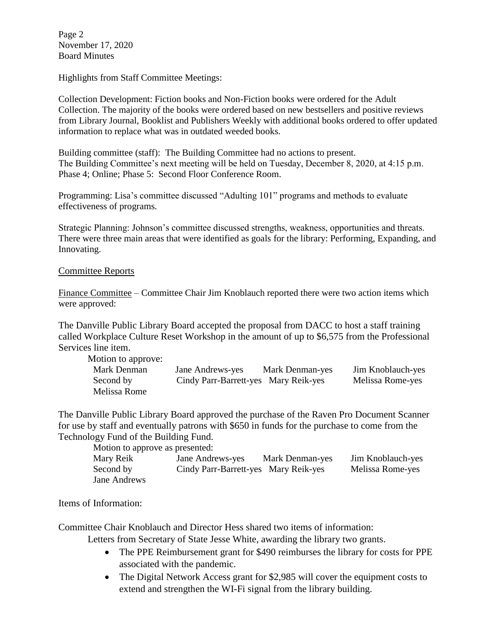Page 2 November 17, 2020 Board Minutes

Highlights from Staff Committee Meetings:

Collection Development: Fiction books and Non-Fiction books were ordered for the Adult Collection. The majority of the books were ordered based on new bestsellers and positive reviews from Library Journal, Booklist and Publishers Weekly with additional books ordered to offer updated information to replace what was in outdated weeded books.

Building committee (staff): The Building Committee had no actions to present. The Building Committee's next meeting will be held on Tuesday, December 8, 2020, at 4:15 p.m. Phase 4; Online; Phase 5: Second Floor Conference Room.

Programming: Lisa's committee discussed "Adulting 101" programs and methods to evaluate effectiveness of programs.

Strategic Planning: Johnson's committee discussed strengths, weakness, opportunities and threats. There were three main areas that were identified as goals for the library: Performing, Expanding, and Innovating.

## Committee Reports

Finance Committee – Committee Chair Jim Knoblauch reported there were two action items which were approved:

The Danville Public Library Board accepted the proposal from DACC to host a staff training called Workplace Culture Reset Workshop in the amount of up to \$6,575 from the Professional Services line item.

| Motion to approve: |                                      |                 |                   |
|--------------------|--------------------------------------|-----------------|-------------------|
| Mark Denman        | Jane Andrews-yes                     | Mark Denman-yes | Jim Knoblauch-yes |
| Second by          | Cindy Parr-Barrett-yes Mary Reik-yes |                 | Melissa Rome-yes  |
| Melissa Rome       |                                      |                 |                   |

The Danville Public Library Board approved the purchase of the Raven Pro Document Scanner for use by staff and eventually patrons with \$650 in funds for the purchase to come from the Technology Fund of the Building Fund.

Motion to approve as presented:

| Mary Reik    | Jane Andrews-yes                     | Mark Denman-yes | Jim Knoblauch-yes |
|--------------|--------------------------------------|-----------------|-------------------|
| Second by    | Cindy Parr-Barrett-yes Mary Reik-yes |                 | Melissa Rome-yes  |
| Jane Andrews |                                      |                 |                   |

Items of Information:

Committee Chair Knoblauch and Director Hess shared two items of information:

Letters from Secretary of State Jesse White, awarding the library two grants.

- The PPE Reimbursement grant for \$490 reimburses the library for costs for PPE associated with the pandemic.
- The Digital Network Access grant for \$2,985 will cover the equipment costs to extend and strengthen the WI-Fi signal from the library building.